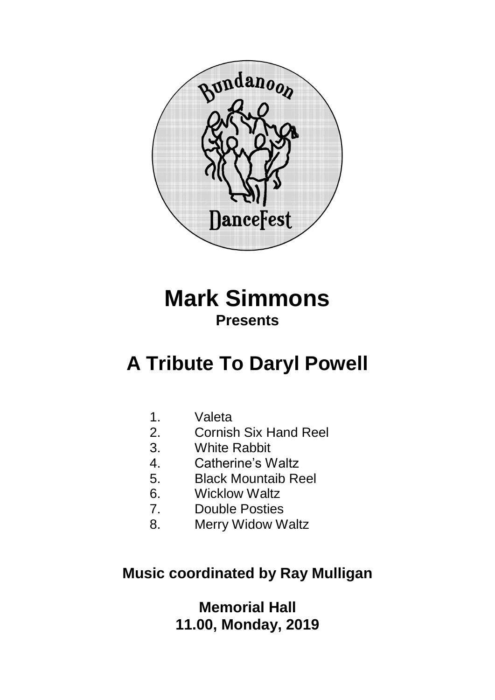

## **Mark Simmons Presents**

# **A Tribute To Daryl Powell**

- 1. Valeta
- 2. Cornish Six Hand Reel
- 3. White Rabbit
- 
- 4. Catherine's Waltz<br>5. Black Mountaib Re 5. Black Mountaib Reel
- 6. Wicklow Waltz
- 7. Double Posties
- 8. Merry Widow Waltz

## **Music coordinated by Ray Mulligan**

**Memorial Hall 11.00, Monday, 2019**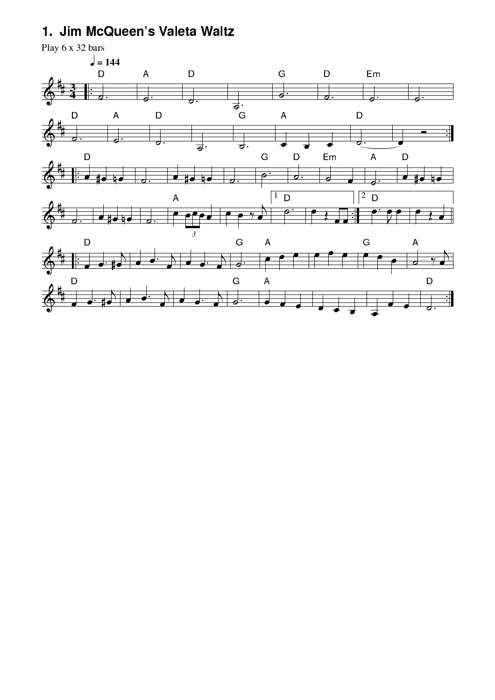## 1. Jim McQueen's Valeta Waltz

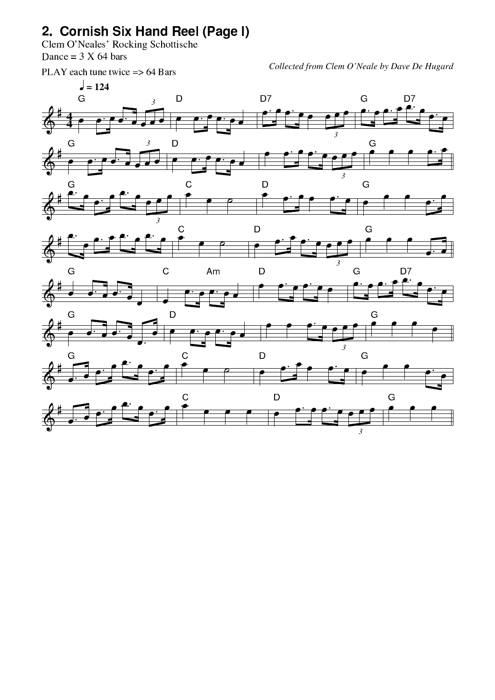## 78:9;<-=?>@A:-B?CD--EF-GHI

JLKMONPQRSMOTUKMWVXQ(YLZ\[U]\^\_\`bac[Ud\Z\ee^V[Od\M  $-$  for  $\mathcal{I}$ 

!prqts:u"vwxy(z\*u{x|t}vu{~\$(-"+,

*Collected from Clem O'Neale by Dave De Hugard*

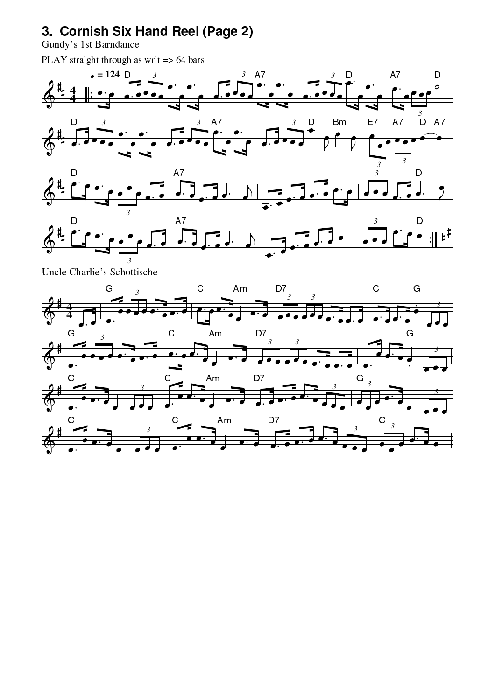## 3. Cornish Six Hand Reel (Page 2)

Gundy's 1st Barndance

G

PLAY straight through as writ => 64 bars



<u>J.</u>

 $\overline{\bullet}$  .

Am

Ć

 $\overrightarrow{\phantom{a}}$ 

D7

 $\overline{\bullet}$ 

 $\overline{3}$ 

G  $\overline{3}$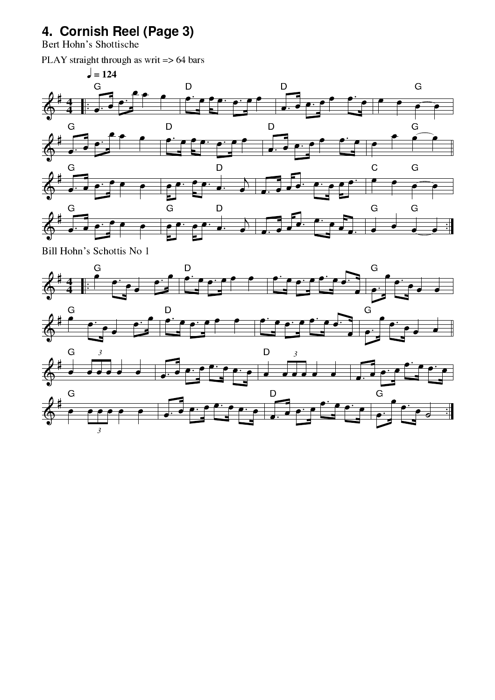## 4. Cornish Reel (Page 3)

Bert Hohn's Shottische

PLAY straight through as writ => 64 bars



Bill Hohn's Schottis No 1

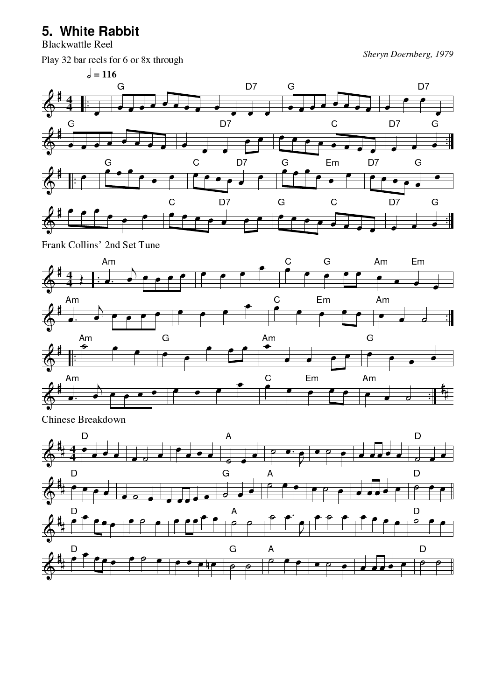#### 5. White Rabbit

**Blackwattle Reel** 

Play 32 bar reels for 6 or 8x through

Sheryn Doernberg, 1979



Frank Collins' 2nd Set Tune



Chinese Breakdown

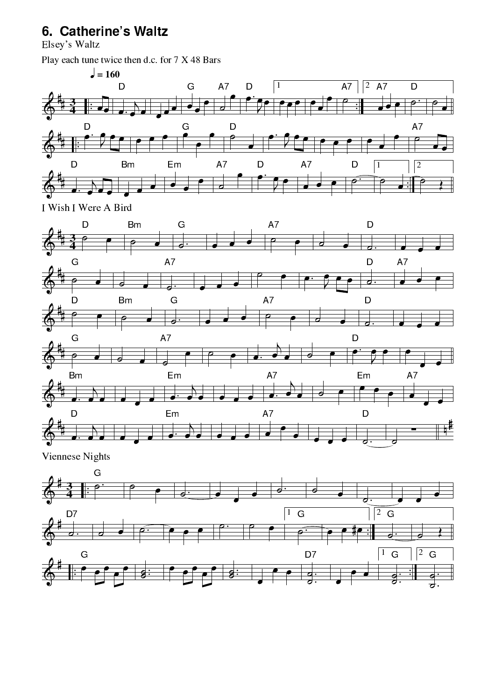## 6. Catherine's Waltz

Elsey's Waltz

Play each tune twice then d.c. for 7 X 48 Bars





Viennese Nights

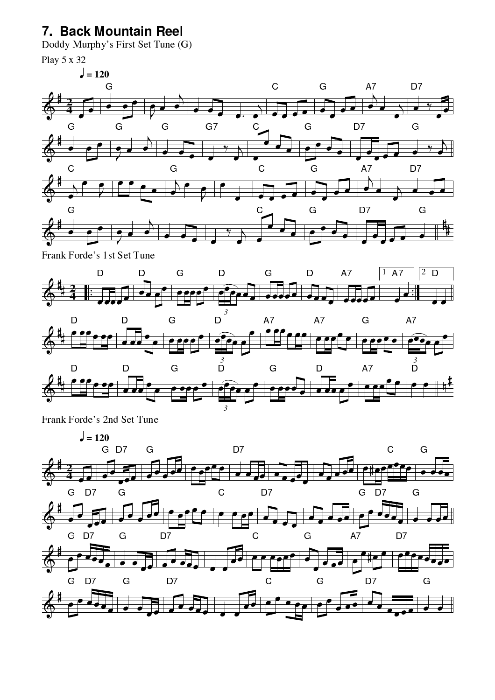### 7. Back Mountain Reel

Doddy Murphy's First Set Tune (G)

Play 5 x 32





Frank Forde's 1st Set Tune





Frank Forde's 2nd Set Tune

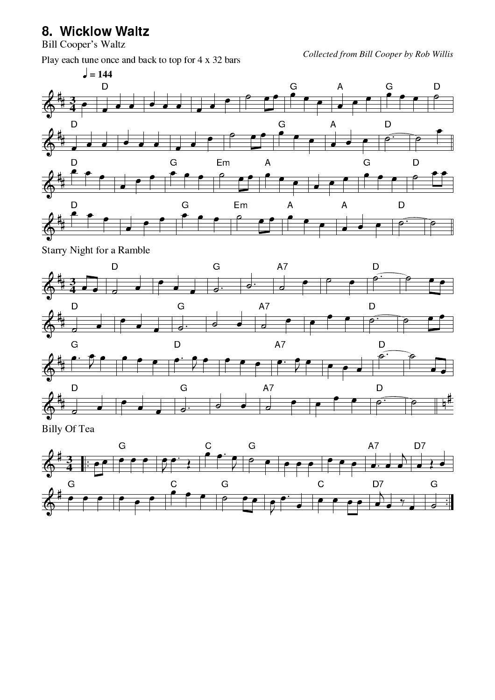#### 8. Wicklow Waltz

**Bill Cooper's Waltz** 

Play each tune once and back to top for 4 x 32 bars



Starry Night for a Ramble



Billy Of Tea

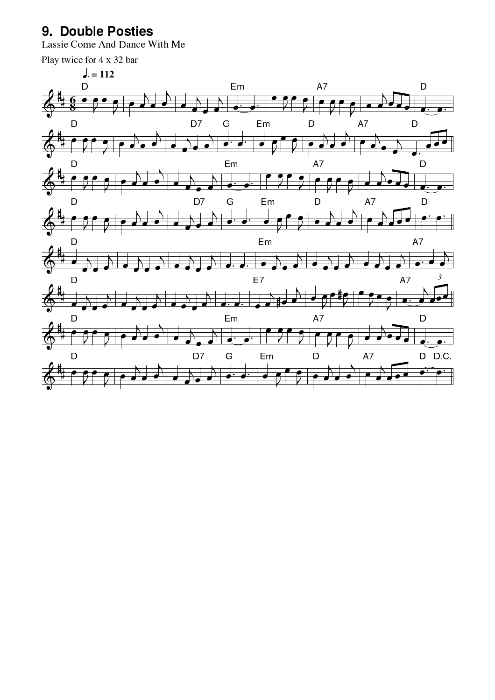#### 9. Double Posties

Lassie Come And Dance With Me

Play twice for 4 x 32 bar